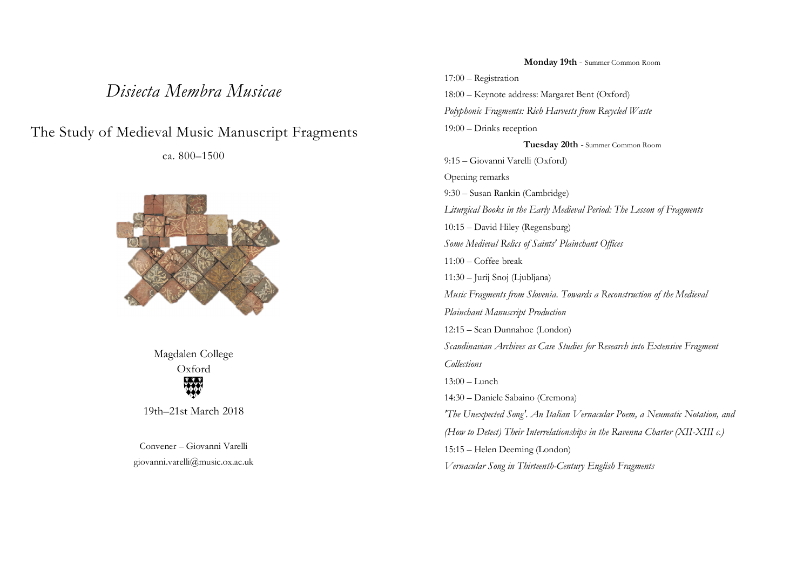## *Disiecta Membra Musicae*

## The Study of Medieval Music Manuscript Fragments

ca. 800–1500



Magdalen College Oxford 

19th–21st March 2018

Convener – Giovanni Varelli giovanni.varelli@music.ox.ac.uk

**Monday 19th** - Summer Common Room 17:00 – Registration 18:00 – Keynote address: Margaret Bent (Oxford) *Polyphonic Fragments: Rich Harvests from Recycled Waste* 19:00 – Drinks reception **Tuesday 20th** - Summer Common Room 9:15 – Giovanni Varelli (Oxford) Opening remarks 9:30 – Susan Rankin (Cambridge) *Liturgical Books in the Early Medieval Period: The Lesson of Fragments* 10:15 – David Hiley (Regensburg) *Some Medieval Relics of Saints' Plainchant Offices* 11:00 – Coffee break 11:30 – Jurij Snoj (Ljubljana) *Music Fragments from Slovenia. Towards a Reconstruction of the Medieval Plainchant Manuscript Production* 12:15 – Sean Dunnahoe (London) *Scandinavian Archives as Case Studies for Research into Extensive Fragment Collections* 13:00 – Lunch 14:30 – Daniele Sabaino (Cremona) *'The Unexpected Song'. An Italian Vernacular Poem, a Neumatic Notation, and (How to Detect) Their Interrelationships in the Ravenna Charter (XII-XIII c.)* 15:15 – Helen Deeming (London) *Vernacular Song in Thirteenth-Century English Fragments*